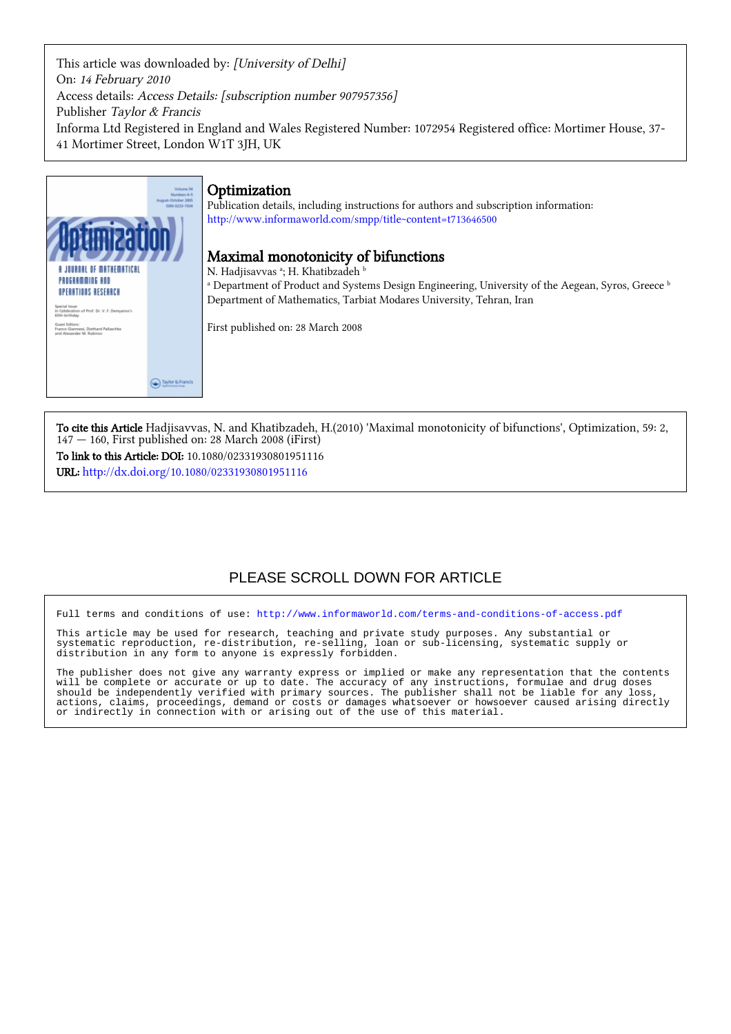This article was downloaded by: [University of Delhi] On: 14 February 2010 Access details: Access Details: [subscription number 907957356] Publisher Taylor & Francis Informa Ltd Registered in England and Wales Registered Number: 1072954 Registered office: Mortimer House, 37- 41 Mortimer Street, London W1T 3JH, UK



To cite this Article Hadjisavvas, N. and Khatibzadeh, H.(2010) 'Maximal monotonicity of bifunctions', Optimization, 59: 2,  $147 - 160$ , First published on: 28 March 2008 (iFirst) To link to this Article: DOI: 10.1080/02331930801951116 URL: <http://dx.doi.org/10.1080/02331930801951116>

# PLEASE SCROLL DOWN FOR ARTICLE

Full terms and conditions of use:<http://www.informaworld.com/terms-and-conditions-of-access.pdf>

This article may be used for research, teaching and private study purposes. Any substantial or systematic reproduction, re-distribution, re-selling, loan or sub-licensing, systematic supply or distribution in any form to anyone is expressly forbidden.

The publisher does not give any warranty express or implied or make any representation that the contents will be complete or accurate or up to date. The accuracy of any instructions, formulae and drug doses should be independently verified with primary sources. The publisher shall not be liable for any loss, actions, claims, proceedings, demand or costs or damages whatsoever or howsoever caused arising directly or indirectly in connection with or arising out of the use of this material.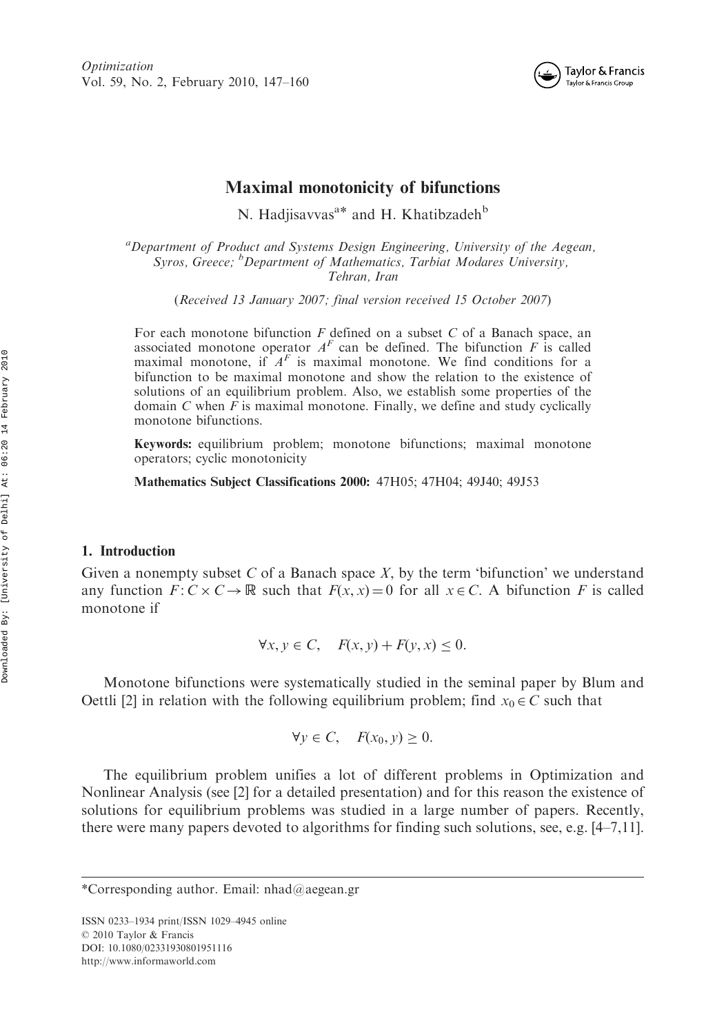

# Maximal monotonicity of bifunctions

N. Hadjisavvas<sup>a\*</sup> and H. Khatibzadeh<sup>b</sup>

<sup>a</sup> Department of Product and Systems Design Engineering, University of the Aegean, Syros, Greece; <sup>b</sup>Department of Mathematics, Tarbiat Modares University, Tehran, Iran

(Received 13 January 2007; final version received 15 October 2007)

For each monotone bifunction  $F$  defined on a subset  $C$  of a Banach space, an associated monotone operator  $A<sup>F</sup>$  can be defined. The bifunction F is called maximal monotone, if  $A<sup>F</sup>$  is maximal monotone. We find conditions for a bifunction to be maximal monotone and show the relation to the existence of solutions of an equilibrium problem. Also, we establish some properties of the domain  $C$  when  $F$  is maximal monotone. Finally, we define and study cyclically monotone bifunctions.

Keywords: equilibrium problem; monotone bifunctions; maximal monotone operators; cyclic monotonicity

Mathematics Subject Classifications 2000: 47H05; 47H04; 49J40; 49J53

#### 1. Introduction

Given a nonempty subset  $C$  of a Banach space  $X$ , by the term 'bifunction' we understand any function  $F: C \times C \to \mathbb{R}$  such that  $F(x, x) = 0$  for all  $x \in C$ . A bifunction F is called monotone if

 $\forall x, y \in C$ ,  $F(x, y) + F(y, x) < 0$ .

Monotone bifunctions were systematically studied in the seminal paper by Blum and Oettli [2] in relation with the following equilibrium problem; find  $x_0 \in C$  such that

$$
\forall y \in C, \quad F(x_0, y) \ge 0.
$$

The equilibrium problem unifies a lot of different problems in Optimization and Nonlinear Analysis (see [2] for a detailed presentation) and for this reason the existence of solutions for equilibrium problems was studied in a large number of papers. Recently, there were many papers devoted to algorithms for finding such solutions, see, e.g. [4–7,11].

ISSN 0233–1934 print/ISSN 1029–4945 online © 2010 Taylor & Francis DOI: 10.1080/02331930801951116 http://www.informaworld.com

<sup>\*</sup>Corresponding author. Email: nhad@aegean.gr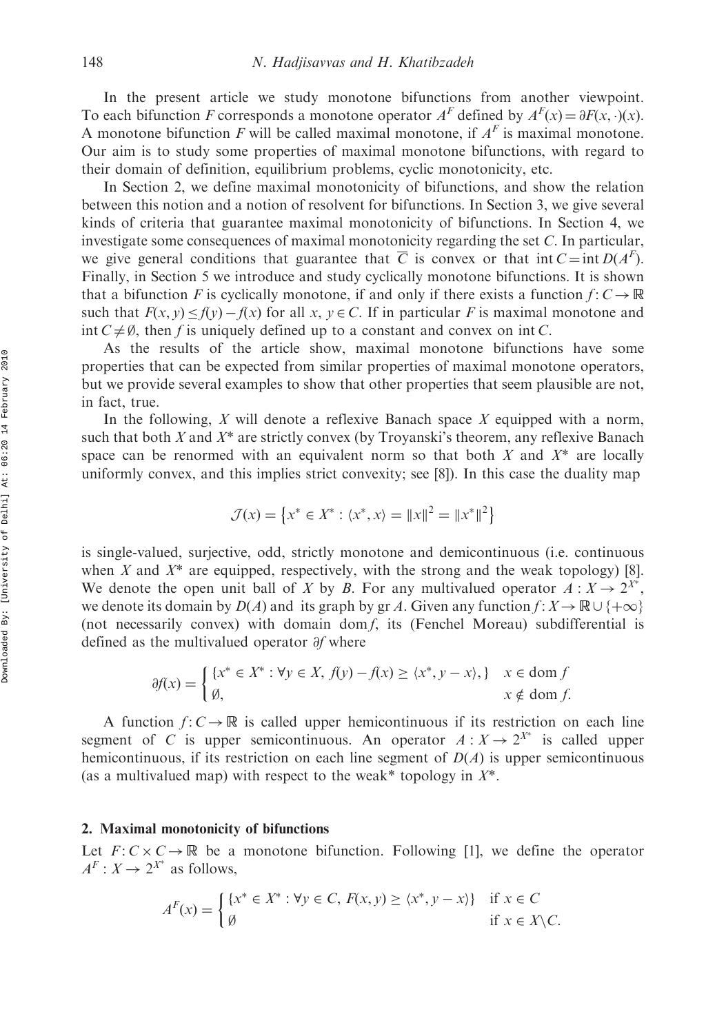In the present article we study monotone bifunctions from another viewpoint. To each bifunction F corresponds a monotone operator  $A^F$  defined by  $A^F(x) = \partial F(x, \cdot)(x)$ . A monotone bifunction F will be called maximal monotone, if  $A<sup>F</sup>$  is maximal monotone. Our aim is to study some properties of maximal monotone bifunctions, with regard to their domain of definition, equilibrium problems, cyclic monotonicity, etc.

In Section 2, we define maximal monotonicity of bifunctions, and show the relation between this notion and a notion of resolvent for bifunctions. In Section 3, we give several kinds of criteria that guarantee maximal monotonicity of bifunctions. In Section 4, we investigate some consequences of maximal monotonicity regarding the set C. In particular, we give general conditions that guarantee that  $\overline{C}$  is convex or that int  $C = \text{int } D(A^F)$ . Finally, in Section 5 we introduce and study cyclically monotone bifunctions. It is shown that a bifunction F is cyclically monotone, if and only if there exists a function  $f: C \to \mathbb{R}$ such that  $F(x, y) \leq f(y) - f(x)$  for all  $x, y \in C$ . If in particular F is maximal monotone and int  $C \neq \emptyset$ , then f is uniquely defined up to a constant and convex on int C.

As the results of the article show, maximal monotone bifunctions have some properties that can be expected from similar properties of maximal monotone operators, but we provide several examples to show that other properties that seem plausible are not, in fact, true.

In the following, X will denote a reflexive Banach space X equipped with a norm, such that both  $X$  and  $X^*$  are strictly convex (by Troyanski's theorem, any reflexive Banach space can be renormed with an equivalent norm so that both  $X$  and  $X^*$  are locally uniformly convex, and this implies strict convexity; see [8]). In this case the duality map

$$
\mathcal{J}(x) = \{x^* \in X^* : \langle x^*, x \rangle = ||x||^2 = ||x^*||^2\}
$$

is single-valued, surjective, odd, strictly monotone and demicontinuous (i.e. continuous when X and  $X^*$  are equipped, respectively, with the strong and the weak topology) [8]. We denote the open unit ball of X by B. For any multivalued operator  $A: X \to 2^{X^*}$ , we denote its domain by  $D(A)$  and its graph by gr A. Given any function  $f: X \to \mathbb{R} \cup \{+\infty\}$ (not necessarily convex) with domain dom f, its (Fenchel Moreau) subdifferential is defined as the multivalued operator  $\partial f$  where

$$
\partial f(x) = \begin{cases} \{x^* \in X^* : \forall y \in X, f(y) - f(x) \ge \langle x^*, y - x \rangle, \} & x \in \text{dom } f \\ \emptyset, & x \notin \text{dom } f. \end{cases}
$$

A function  $f: C \to \mathbb{R}$  is called upper hemicontinuous if its restriction on each line segment of C is upper semicontinuous. An operator  $A: X \to 2^{X^*}$  is called upper hemicontinuous, if its restriction on each line segment of  $D(A)$  is upper semicontinuous (as a multivalued map) with respect to the weak\* topology in  $X^*$ .

## 2. Maximal monotonicity of bifunctions

Let  $F: C \times C \rightarrow \mathbb{R}$  be a monotone bifunction. Following [1], we define the operator  $A^F: X \to 2^{X^*}$  as follows,

$$
A^{F}(x) = \begin{cases} \{x^* \in X^* : \forall y \in C, F(x, y) \ge \langle x^*, y - x \rangle\} & \text{if } x \in C \\ \emptyset & \text{if } x \in X \setminus C. \end{cases}
$$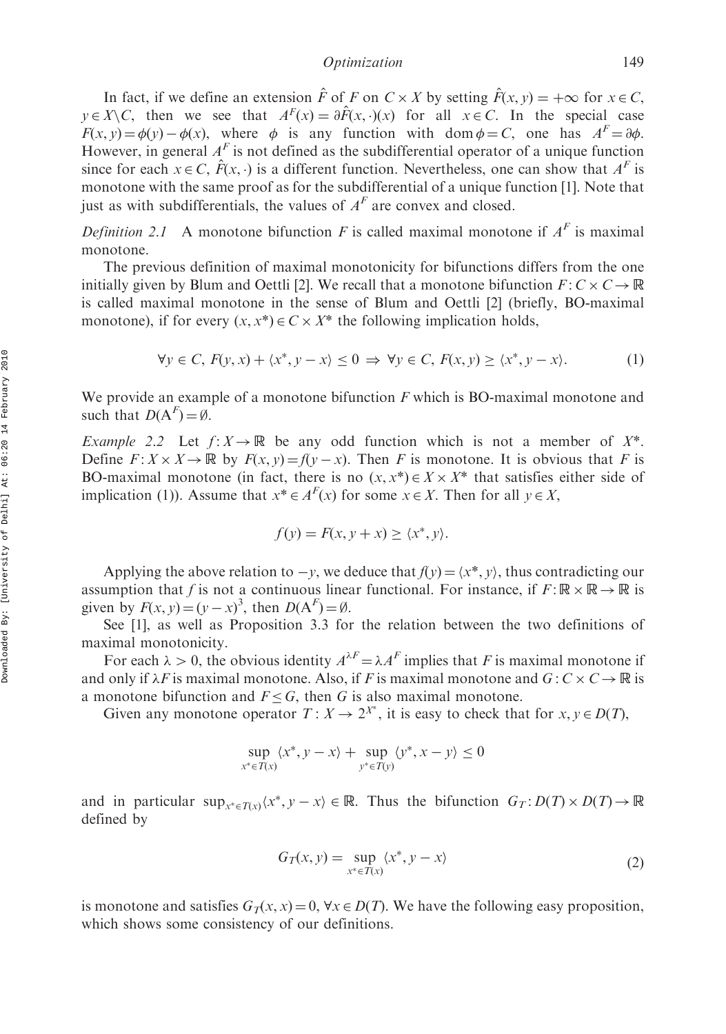In fact, if we define an extension  $\hat{F}$  of F on  $C \times X$  by setting  $\hat{F}(x, y) = +\infty$  for  $x \in C$ ,  $y \in X \setminus C$ , then we see that  $A<sup>F</sup>(x) = \partial F(x, \cdot)(x)$  for all  $x \in C$ . In the special case  $F(x, y) = \phi(y) - \phi(x)$ , where  $\phi$  is any function with dom  $\phi = C$ , one has  $A^F = \partial \phi$ . However, in general  $A<sup>F</sup>$  is not defined as the subdifferential operator of a unique function since for each  $x \in C$ ,  $\hat{F}(x, \cdot)$  is a different function. Nevertheless, one can show that  $A<sup>F</sup>$  is monotone with the same proof as for the subdifferential of a unique function [1]. Note that just as with subdifferentials, the values of  $A<sup>F</sup>$  are convex and closed.

Definition 2.1 A monotone bifunction F is called maximal monotone if  $A<sup>F</sup>$  is maximal monotone.

The previous definition of maximal monotonicity for bifunctions differs from the one initially given by Blum and Oettli [2]. We recall that a monotone bifunction  $F: C \times C \rightarrow \mathbb{R}$ is called maximal monotone in the sense of Blum and Oettli [2] (briefly, BO-maximal monotone), if for every  $(x, x^*) \in C \times X^*$  the following implication holds,

$$
\forall y \in C, F(y, x) + \langle x^*, y - x \rangle \le 0 \implies \forall y \in C, F(x, y) \ge \langle x^*, y - x \rangle. \tag{1}
$$

We provide an example of a monotone bifunction  $F$  which is BO-maximal monotone and such that  $D(A^F) = \emptyset$ .

Example 2.2 Let  $f: X \to \mathbb{R}$  be any odd function which is not a member of  $X^*$ . Define  $F: X \times X \to \mathbb{R}$  by  $F(x, y) = f(y - x)$ . Then F is monotone. It is obvious that F is BO-maximal monotone (in fact, there is no  $(x, x^*) \in X \times X^*$  that satisfies either side of implication (1)). Assume that  $x^* \in A^F(x)$  for some  $x \in X$ . Then for all  $y \in X$ ,

$$
f(y) = F(x, y + x) \ge \langle x^*, y \rangle.
$$

Applying the above relation to  $-y$ , we deduce that  $f(y) = \langle x^*, y \rangle$ , thus contradicting our assumption that f is not a continuous linear functional. For instance, if  $F : \mathbb{R} \times \mathbb{R} \to \mathbb{R}$  is given by  $F(x, y) = (y - x)^3$ , then  $D(A^F) = \emptyset$ .

See [1], as well as Proposition 3.3 for the relation between the two definitions of maximal monotonicity.

For each  $\lambda > 0$ , the obvious identity  $A^{\lambda F} = \lambda A^F$  implies that F is maximal monotone if and only if  $\lambda F$  is maximal monotone. Also, if F is maximal monotone and  $G: C \times C \rightarrow \mathbb{R}$  is a monotone bifunction and  $F \leq G$ , then G is also maximal monotone.

Given any monotone operator  $T: X \to 2^{X^*}$ , it is easy to check that for  $x, y \in D(T)$ ,

$$
\sup_{x^* \in T(x)} \langle x^*, y - x \rangle + \sup_{y^* \in T(y)} \langle y^*, x - y \rangle \le 0
$$

and in particular  $\sup_{x^* \in T(x)} \langle x^*, y - x \rangle \in \mathbb{R}$ . Thus the bifunction  $G_T : D(T) \times D(T) \to \mathbb{R}$ defined by

$$
G_T(x, y) = \sup_{x^* \in T(x)} \langle x^*, y - x \rangle \tag{2}
$$

is monotone and satisfies  $G_T(x, x) = 0$ ,  $\forall x \in D(T)$ . We have the following easy proposition, which shows some consistency of our definitions.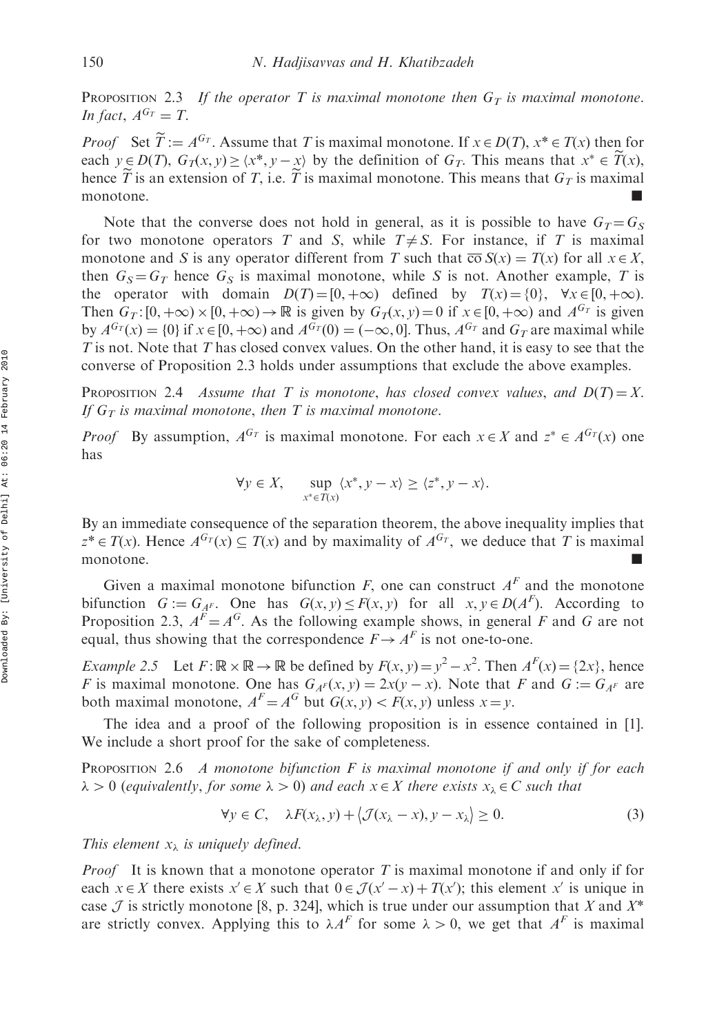PROPOSITION 2.3 If the operator T is maximal monotone then  $G_T$  is maximal monotone. In fact,  $A^{G_T} = T$ .

*Proof* Set  $\widetilde{T} := A^{G_T}$ . Assume that T is maximal monotone. If  $x \in D(T)$ ,  $x^* \in T(x)$  then for each  $y \in D(T)$ ,  $G_T(x, y) \ge \langle x^*, y - x \rangle$  by the definition of  $G_T$ . This means that  $x^* \in \widetilde{T}(x)$ , hence T is an extension of T, i.e. T is maximal monotone. This means that  $G_T$  is maximal monotone.

Note that the converse does not hold in general, as it is possible to have  $G_T = G_S$ for two monotone operators T and S, while  $T \neq S$ . For instance, if T is maximal monotone and S is any operator different from T such that  $\overline{co} S(x) = T(x)$  for all  $x \in X$ , then  $G_S = G_T$  hence  $G_S$  is maximal monotone, while S is not. Another example, T is the operator with domain  $D(T) = [0, +\infty)$  defined by  $T(x) = \{0\}$ ,  $\forall x \in [0, +\infty)$ . Then  $G_T: [0, +\infty) \times [0, +\infty) \to \mathbb{R}$  is given by  $G_T(x, y) = 0$  if  $x \in [0, +\infty)$  and  $A^{G_T}$  is given by  $A^{G_T}(x) = \{0\}$  if  $x \in [0, +\infty)$  and  $A^{G_T}(0) = (-\infty, 0]$ . Thus,  $A^{G_T}$  and  $G_T$  are maximal while  $T$  is not. Note that  $T$  has closed convex values. On the other hand, it is easy to see that the converse of Proposition 2.3 holds under assumptions that exclude the above examples.

PROPOSITION 2.4 Assume that T is monotone, has closed convex values, and  $D(T) = X$ . If  $G_T$  is maximal monotone, then T is maximal monotone.

*Proof* By assumption,  $A^{G_T}$  is maximal monotone. For each  $x \in X$  and  $z^* \in A^{G_T}(x)$  one has

$$
\forall y \in X, \quad \sup_{x^* \in T(x)} \langle x^*, y - x \rangle \ge \langle z^*, y - x \rangle.
$$

By an immediate consequence of the separation theorem, the above inequality implies that  $z^* \in T(x)$ . Hence  $A^{G_T}(x) \subseteq T(x)$  and by maximality of  $A^{G_T}$ , we deduce that T is maximal monotone.

Given a maximal monotone bifunction F, one can construct  $A<sup>F</sup>$  and the monotone bifunction  $G := G_{A^F}$ . One has  $G(x, y) \le F(x, y)$  for all  $x, y \in D(A^F)$ . According to Proposition 2.3,  $A^F = A^G$ . As the following example shows, in general F and G are not equal, thus showing that the correspondence  $F \rightarrow A^F$  is not one-to-one.

*Example 2.5* Let  $F: \mathbb{R} \times \mathbb{R} \to \mathbb{R}$  be defined by  $F(x, y) = y^2 - x^2$ . Then  $A^F(x) = \{2x\}$ , hence F is maximal monotone. One has  $G_{A^F}(x, y) = 2x(y - x)$ . Note that F and  $G := G_{A^F}$  are both maximal monotone,  $A<sup>F</sup> = A<sup>G</sup>$  but  $G(x, y) < F(x, y)$  unless  $x = y$ .

The idea and a proof of the following proposition is in essence contained in [1]. We include a short proof for the sake of completeness.

PROPOSITION 2.6 A monotone bifunction  $F$  is maximal monotone if and only if for each  $\lambda > 0$  (equivalently, for some  $\lambda > 0$ ) and each  $x \in X$  there exists  $x_{\lambda} \in C$  such that

$$
\forall y \in C, \quad \lambda F(x_{\lambda}, y) + \langle \mathcal{J}(x_{\lambda} - x), y - x_{\lambda} \rangle \ge 0.
$$
 (3)

This element  $x_{\lambda}$  is uniquely defined.

*Proof* It is known that a monotone operator T is maximal monotone if and only if for each  $x \in X$  there exists  $x' \in X$  such that  $0 \in \mathcal{J} (x'-x) + T(x')$ ; this element x' is unique in case  $\mathcal J$  is strictly monotone [8, p. 324], which is true under our assumption that X and  $X^*$ are strictly convex. Applying this to  $\lambda A^F$  for some  $\lambda > 0$ , we get that  $A^F$  is maximal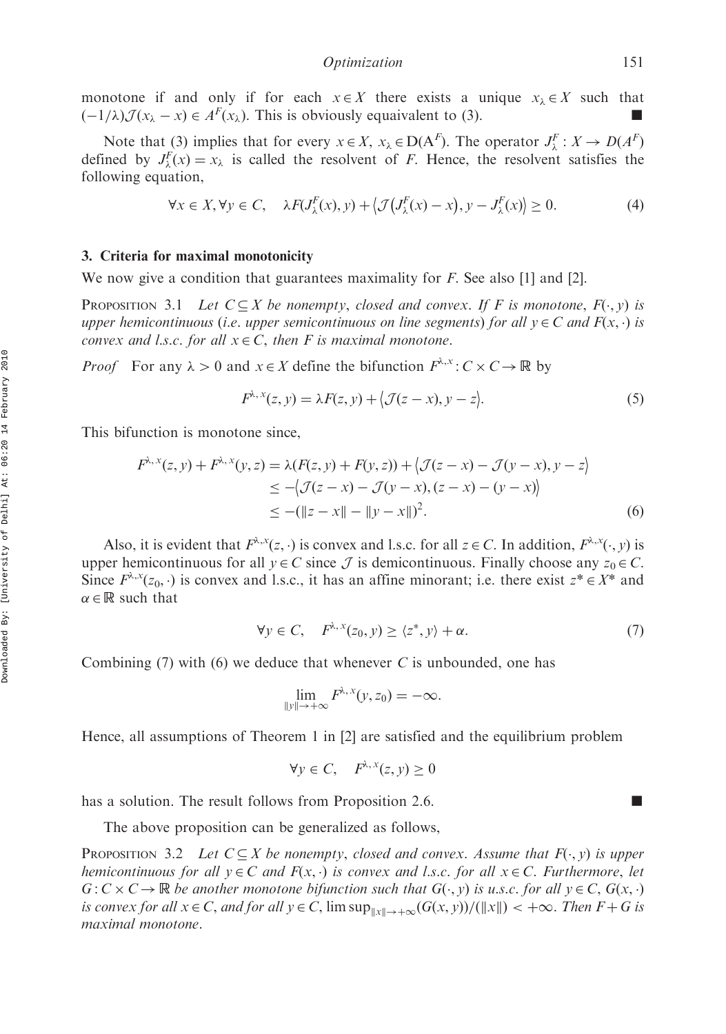monotone if and only if for each  $x \in X$  there exists a unique  $x_{\lambda} \in X$  such that  $\left(-\frac{1}{\lambda}\right)$   $\mathcal{J}(x_{\lambda}-x) \in A^F(x_{\lambda})$ . This is obviously equaivalent to (3).

Note that (3) implies that for every  $x \in X$ ,  $x_{\lambda} \in D(A^F)$ . The operator  $J_{\lambda}^F : X \to D(A^F)$ defined by  $J_{\lambda}^{F}(x) = x_{\lambda}$  is called the resolvent of *F*. Hence, the resolvent satisfies the following equation,

$$
\forall x \in X, \forall y \in C, \quad \lambda F(J_{\lambda}^{F}(x), y) + \langle \mathcal{J}(J_{\lambda}^{F}(x) - x), y - J_{\lambda}^{F}(x) \rangle \ge 0.
$$
 (4)

### 3. Criteria for maximal monotonicity

We now give a condition that guarantees maximality for  $F$ . See also [1] and [2].

**PROPOSITION** 3.1 Let  $C \subseteq X$  be nonempty, closed and convex. If F is monotone,  $F(\cdot, y)$  is upper hemicontinuous (i.e. upper semicontinuous on line segments) for all  $y \in C$  and  $F(x, \cdot)$  is convex and l.s.c. for all  $x \in C$ , then F is maximal monotone.

*Proof* For any  $\lambda > 0$  and  $x \in X$  define the bifunction  $F^{\lambda,x} : C \times C \to \mathbb{R}$  by

$$
F^{\lambda, x}(z, y) = \lambda F(z, y) + \langle \mathcal{J}(z - x), y - z \rangle.
$$
 (5)

This bifunction is monotone since,

$$
F^{\lambda, x}(z, y) + F^{\lambda, x}(y, z) = \lambda (F(z, y) + F(y, z)) + \langle \mathcal{J}(z - x) - \mathcal{J}(y - x), y - z \rangle
$$
  
\n
$$
\le -\langle \mathcal{J}(z - x) - \mathcal{J}(y - x), (z - x) - (y - x) \rangle
$$
  
\n
$$
\le -(\|z - x\| - \|y - x\|)^2.
$$
 (6)

Also, it is evident that  $F^{\lambda,x}(z, \cdot)$  is convex and l.s.c. for all  $z \in C$ . In addition,  $F^{\lambda,x}(\cdot, y)$  is upper hemicontinuous for all  $y \in C$  since  $\mathcal J$  is demicontinuous. Finally choose any  $z_0 \in C$ . Since  $F^{\lambda,x}(z_0, \cdot)$  is convex and l.s.c., it has an affine minorant; i.e. there exist  $z^* \in X^*$  and  $\alpha \in \mathbb{R}$  such that

$$
\forall y \in C, \quad F^{\lambda, x}(z_0, y) \ge \langle z^*, y \rangle + \alpha. \tag{7}
$$

Combining (7) with (6) we deduce that whenever  $C$  is unbounded, one has

$$
\lim_{\|y\| \to +\infty} F^{\lambda, x}(y, z_0) = -\infty.
$$

Hence, all assumptions of Theorem 1 in [2] are satisfied and the equilibrium problem

$$
\forall y \in C, \quad F^{\lambda, x}(z, y) \ge 0
$$

has a solution. The result follows from Proposition 2.6.

The above proposition can be generalized as follows,

**PROPOSITION** 3.2 Let  $C \subseteq X$  be nonempty, closed and convex. Assume that  $F(\cdot, y)$  is upper hemicontinuous for all  $y \in C$  and  $F(x, \cdot)$  is convex and l.s.c. for all  $x \in C$ . Furthermore, let  $G: C \times C \rightarrow \mathbb{R}$  be another monotone bifunction such that  $G(\cdot, y)$  is u.s.c. for all  $y \in C$ ,  $G(x, \cdot)$ is convex for all  $x \in C$ , and for all  $y \in C$ ,  $\limsup_{\|x\| \to +\infty} (G(x, y)) / (\|x\|) < +\infty$ . Then  $F + G$  is maximal monotone.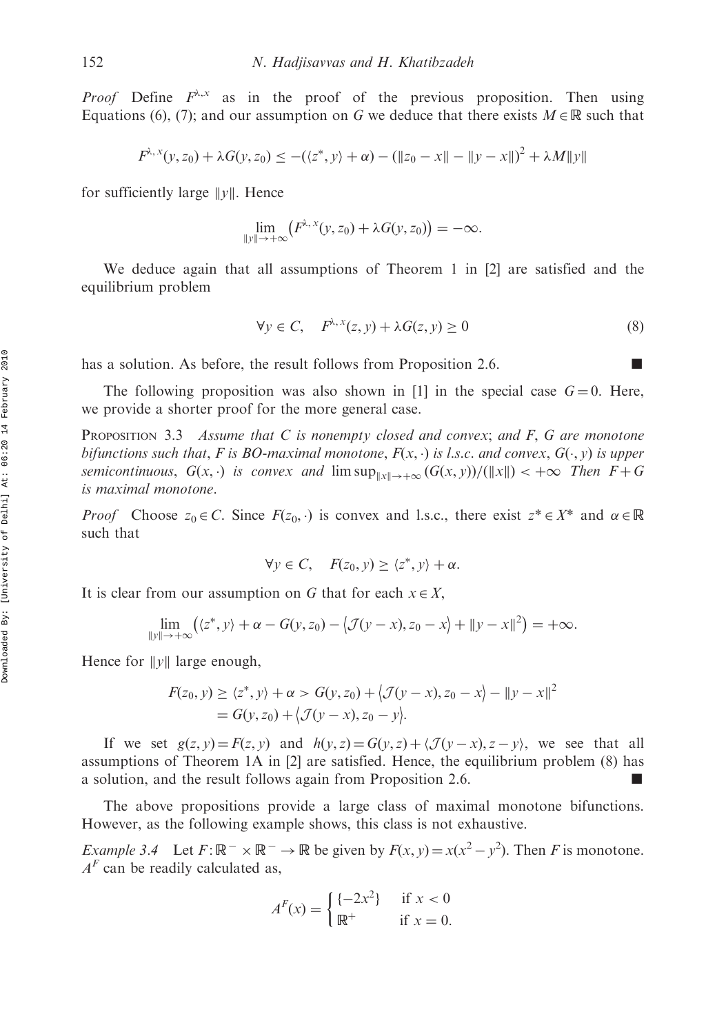*Proof* Define  $F^{\lambda,x}$  as in the proof of the previous proposition. Then using Equations (6), (7); and our assumption on G we deduce that there exists  $M \in \mathbb{R}$  such that

$$
F^{\lambda,x}(y,z_0) + \lambda G(y,z_0) \le -(\langle z^*,y\rangle + \alpha) - (\|z_0 - x\| - \|y - x\|)^2 + \lambda M \|y\|
$$

for sufficiently large  $||y||$ . Hence

$$
\lim_{\|y\| \to +\infty} (F^{\lambda,x}(y,z_0) + \lambda G(y,z_0)) = -\infty.
$$

We deduce again that all assumptions of Theorem 1 in [2] are satisfied and the equilibrium problem

$$
\forall y \in C, \quad F^{\lambda, x}(z, y) + \lambda G(z, y) \ge 0 \tag{8}
$$

has a solution. As before, the result follows from Proposition 2.6.

The following proposition was also shown in [1] in the special case  $G = 0$ . Here, we provide a shorter proof for the more general case.

**PROPOSITION** 3.3 Assume that C is nonempty closed and convex; and F, G are monotone bifunctions such that, F is BO-maximal monotone,  $F(x, \cdot)$  is l.s.c. and convex,  $G(\cdot, y)$  is upper semicontinuous,  $G(x, \cdot)$  is convex and  $\limsup_{\|x\| \to +\infty} (G(x, y)) / (\|x\|) < +\infty$  Then  $F + G$ is maximal monotone.

*Proof* Choose  $z_0 \in C$ . Since  $F(z_0, \cdot)$  is convex and l.s.c., there exist  $z^* \in X^*$  and  $\alpha \in \mathbb{R}$ such that

$$
\forall y \in C, \quad F(z_0, y) \ge \langle z^*, y \rangle + \alpha.
$$

It is clear from our assumption on G that for each  $x \in X$ ,

$$
\lim_{\|y\|\to+\infty} ((z^*,y)+\alpha -G(y,z_0)-\langle \mathcal{J}(y-x),z_0-x\rangle + \|y-x\|^2) = +\infty.
$$

Hence for  $||y||$  large enough,

$$
F(z_0, y) \ge \langle z^*, y \rangle + \alpha > G(y, z_0) + \langle \mathcal{J}(y - x), z_0 - x \rangle - ||y - x||^2
$$
  
=  $G(y, z_0) + \langle \mathcal{J}(y - x), z_0 - y \rangle$ .

If we set  $g(z, y) = F(z, y)$  and  $h(y, z) = G(y, z) + \langle \mathcal{J}(y - x), z - y \rangle$ , we see that all assumptions of Theorem 1A in [2] are satisfied. Hence, the equilibrium problem (8) has a solution, and the result follows again from Proposition 2.6.  $\blacksquare$ 

The above propositions provide a large class of maximal monotone bifunctions. However, as the following example shows, this class is not exhaustive.

*Example 3.4* Let  $F: \mathbb{R}^- \times \mathbb{R}^- \to \mathbb{R}$  be given by  $F(x, y) = x(x^2 - y^2)$ . Then F is monotone.  $A<sup>F</sup>$  can be readily calculated as,

$$
AF(x) = \begin{cases} \{-2x^2\} & \text{if } x < 0\\ \mathbb{R}^+ & \text{if } x = 0. \end{cases}
$$

Downloaded By: [University of Delhi] At: 06:20 14 February 2010 Downloaded By: [University of Delhi] At: 06:20 14 February 2010

$$
\mathcal{L}_{\mathcal{A}}
$$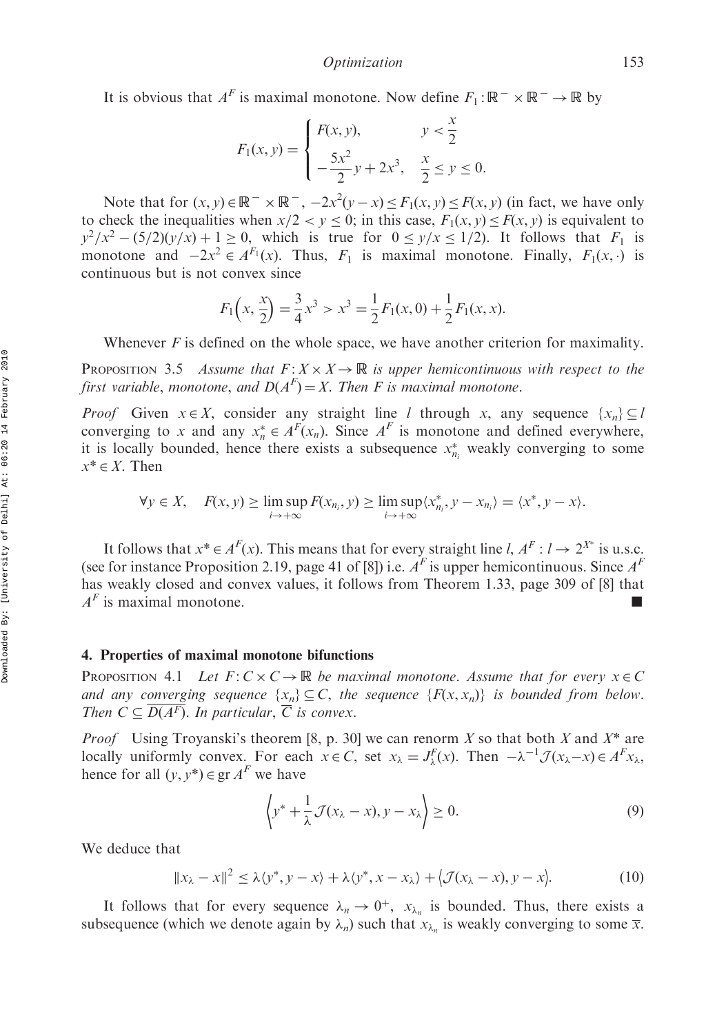It is obvious that  $A^F$  is maximal monotone. Now define  $F_1: \mathbb{R}^- \times \mathbb{R}^- \to \mathbb{R}$  by

$$
F_1(x, y) = \begin{cases} F(x, y), & y < \frac{x}{2} \\ -\frac{5x^2}{2}y + 2x^3, & \frac{x}{2} \le y \le 0. \end{cases}
$$

Note that for  $(x, y) \in \mathbb{R}^- \times \mathbb{R}^-$ ,  $-2x^2(y - x) \le F_1(x, y) \le F(x, y)$  (in fact, we have only to check the inequalities when  $x/2 < y \le 0$ ; in this case,  $F_1(x, y) \le F(x, y)$  is equivalent to  $y^2/x^2 - (5/2)(y/x) + 1 \ge 0$ , which is true for  $0 \le y/x \le 1/2$ . It follows that  $F_1$  is monotone and  $-2x^2 \in A^{F_1}(x)$ . Thus,  $F_1$  is maximal monotone. Finally,  $F_1(x, \cdot)$  is continuous but is not convex since

$$
F_1\left(x, \frac{x}{2}\right) = \frac{3}{4}x^3 > x^3 = \frac{1}{2}F_1(x, 0) + \frac{1}{2}F_1(x, x).
$$

Whenever  $F$  is defined on the whole space, we have another criterion for maximality.

**PROPOSITION** 3.5 Assume that  $F: X \times X \rightarrow \mathbb{R}$  is upper hemicontinuous with respect to the first variable, monotone, and  $D(A^F) = X$ . Then F is maximal monotone.

*Proof* Given  $x \in X$ , consider any straight line *l* through x, any sequence  $\{x_n\} \subseteq l$ converging to x and any  $x_n^* \in A^F(x_n)$ . Since  $A^F$  is monotone and defined everywhere, it is locally bounded, hence there exists a subsequence  $x_{n_i}^*$  weakly converging to some  $x^* \in X$ . Then

$$
\forall y \in X, \quad F(x, y) \ge \limsup_{i \to +\infty} F(x_{n_i}, y) \ge \limsup_{i \to +\infty} \langle x_{n_i}^*, y - x_{n_i} \rangle = \langle x^*, y - x \rangle.
$$

It follows that  $x^* \in A^F(x)$ . This means that for every straight line *l*,  $A^F: l \to 2^{X^*}$  is u.s.c. (see for instance Proposition 2.19, page 41 of [8]) i.e.  $A<sup>F</sup>$  is upper hemicontinuous. Since  $A<sup>F</sup>$ has weakly closed and convex values, it follows from Theorem 1.33, page 309 of [8] that  $A<sup>F</sup>$  is maximal monotone.

#### 4. Properties of maximal monotone bifunctions

PROPOSITION 4.1 Let  $F: C \times C \rightarrow \mathbb{R}$  be maximal monotone. Assume that for every  $x \in C$ and any converging sequence  $\{x_n\} \subseteq C$ , the sequence  $\{F(x, x_n)\}\$  is bounded from below. Then  $C \subseteq \overline{D(A^F)}$ . In particular,  $\overline{C}$  is convex.

*Proof* Using Troyanski's theorem [8, p. 30] we can renorm X so that both X and  $X^*$  are locally uniformly convex. For each  $x \in C$ , set  $x_{\lambda} = J_{\lambda}^{F}(x)$ . Then  $-\lambda^{-1} \mathcal{J}(x_{\lambda}-x) \in A^{F}x_{\lambda}$ , hence for all  $(y, y^*) \in \operatorname{gr} A^F$  we have

$$
\left\langle y^* + \frac{1}{\lambda} \mathcal{J}(x_\lambda - x), y - x_\lambda \right\rangle \ge 0.
$$
 (9)

We deduce that

$$
||x_{\lambda} - x||^2 \le \lambda \langle y^*, y - x \rangle + \lambda \langle y^*, x - x_{\lambda} \rangle + \langle \mathcal{J}(x_{\lambda} - x), y - x \rangle.
$$
 (10)

It follows that for every sequence  $\lambda_n \to 0^+$ ,  $x_{\lambda_n}$  is bounded. Thus, there exists a subsequence (which we denote again by  $\lambda_n$ ) such that  $x_{\lambda_n}$  is weakly converging to some  $\overline{x}$ .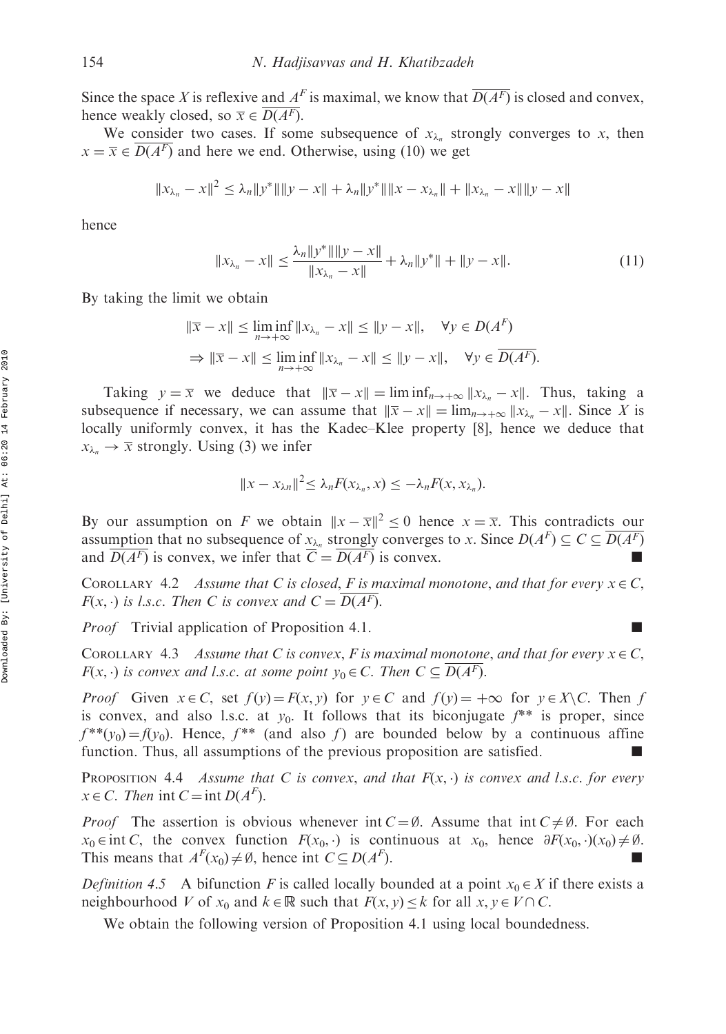Since the space X is reflexive and  $A<sup>F</sup>$  is maximal, we know that  $\overline{D(A^F)}$  is closed and convex, hence weakly closed, so  $\overline{x} \in \overline{D(A^F)}$ .

We consider two cases. If some subsequence of  $x_{\lambda_n}$  strongly converges to x, then  $x = \overline{x} \in D(A^F)$  and here we end. Otherwise, using (10) we get

$$
||x_{\lambda_n} - x||^2 \le \lambda_n ||y^*|| ||y - x|| + \lambda_n ||y^*|| ||x - x_{\lambda_n}|| + ||x_{\lambda_n} - x|| ||y - x||
$$

hence

$$
||x_{\lambda_n} - x|| \le \frac{\lambda_n ||y^*|| ||y - x||}{||x_{\lambda_n} - x||} + \lambda_n ||y^*|| + ||y - x||. \tag{11}
$$

By taking the limit we obtain

$$
\|\overline{x} - x\| \le \liminf_{n \to +\infty} \|x_{\lambda_n} - x\| \le \|y - x\|, \quad \forall y \in D(A^F)
$$
  
\n
$$
\Rightarrow \|\overline{x} - x\| \le \liminf_{n \to +\infty} \|x_{\lambda_n} - x\| \le \|y - x\|, \quad \forall y \in \overline{D(A^F)}.
$$

Taking  $y = \overline{x}$  we deduce that  $\|\overline{x} - x\| = \liminf_{n \to +\infty} \|x_{\lambda_n} - x\|$ . Thus, taking a subsequence if necessary, we can assume that  $\|\overline{x} - x\| = \lim_{n \to +\infty} \|x_{\lambda_n} - x\|$ . Since X is locally uniformly convex, it has the Kadec–Klee property [8], hence we deduce that  $x_{\lambda_n} \rightarrow \overline{x}$  strongly. Using (3) we infer

$$
||x - x_{\lambda n}||^2 \leq \lambda_n F(x_{\lambda_n}, x) \leq -\lambda_n F(x, x_{\lambda_n}).
$$

By our assumption on F we obtain  $||x - \overline{x}||^2 \le 0$  hence  $x = \overline{x}$ . This contradicts our assumption that no subsequence of  $x_{\lambda_n}$  strongly converges to x. Since  $D(A^F) \subseteq C \subseteq \overline{D(A^F)}$ and  $D(A^F)$  is convex, we infer that  $\overline{C} = D(A^F)$  is convex.

COROLLARY 4.2 Assume that C is closed, F is maximal monotone, and that for every  $x \in C$ ,  $F(x, \cdot)$  is l.s.c. Then C is convex and  $C = D(A^F)$ .

*Proof* Trivial application of Proposition 4.1.

COROLLARY 4.3 Assume that C is convex, F is maximal monotone, and that for every  $x \in C$ ,  $F(x, \cdot)$  is convex and l.s.c. at some point  $y_0 \in C$ . Then  $C \subseteq D(A^F)$ .

*Proof* Given  $x \in C$ , set  $f(y) = F(x, y)$  for  $y \in C$  and  $f(y) = +\infty$  for  $y \in X \setminus C$ . Then f is convex, and also l.s.c. at  $y_0$ . It follows that its biconjugate  $f^{**}$  is proper, since  $f^{**}(y_0) = f(y_0)$ . Hence,  $f^{**}$  (and also f) are bounded below by a continuous affine function. Thus, all assumptions of the previous proposition are satisfied.  $\blacksquare$ 

PROPOSITION 4.4 Assume that C is convex, and that  $F(x, \cdot)$  is convex and l.s.c. for every  $x \in C$ . Then int  $C = \text{int } D(A^F)$ .

*Proof* The assertion is obvious whenever int  $C = \emptyset$ . Assume that int  $C \neq \emptyset$ . For each  $x_0 \in \text{int } C$ , the convex function  $F(x_0, \cdot)$  is continuous at  $x_0$ , hence  $\partial F(x_0, \cdot)(x_0) \neq \emptyset$ . This means that  $A^F(x_0) \neq \emptyset$ , hence int  $C \subseteq D(A^F)$  $\Box$ ).

*Definition 4.5* A bifunction F is called locally bounded at a point  $x_0 \in X$  if there exists a neighbourhood V of  $x_0$  and  $k \in \mathbb{R}$  such that  $F(x, y) \le k$  for all  $x, y \in V \cap C$ .

We obtain the following version of Proposition 4.1 using local boundedness.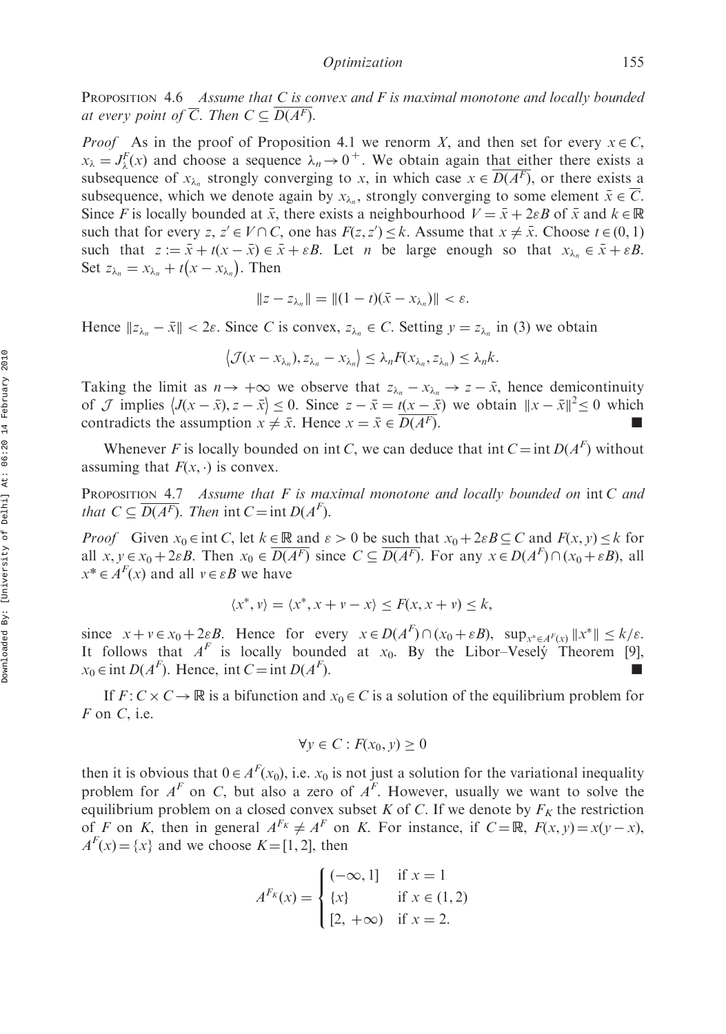PROPOSITION 4.6 Assume that C is convex and F is maximal monotone and locally bounded at every point of  $\overline{C}$ . Then  $C \subseteq \overline{D(A^F)}$ .

*Proof* As in the proof of Proposition 4.1 we renorm X, and then set for every  $x \in C$ ,  $x_{\lambda} = J_{\lambda}^{F}(x)$  and choose a sequence  $\lambda_n \to 0^+$ . We obtain again that either there exists a subsequence of  $x_{\lambda_n}$  strongly converging to x, in which case  $x \in \overline{D(A^F)}$ , or there exists a subsequence, which we denote again by  $x_{\lambda_n}$ , strongly converging to some element  $\bar{x} \in C$ . Since F is locally bounded at  $\bar{x}$ , there exists a neighbourhood  $V = \bar{x} + 2\varepsilon B$  of  $\bar{x}$  and  $k \in \mathbb{R}$ such that for every  $z, z' \in V \cap C$ , one has  $F(z, z') \leq k$ . Assume that  $x \neq \overline{x}$ . Choose  $t \in (0, 1)$ such that  $z := \bar{x} + t(x - \bar{x}) \in \bar{x} + \varepsilon B$ . Let *n* be large enough so that  $x_{\lambda_n} \in \bar{x} + \varepsilon B$ . Set  $z_{\lambda_n} = x_{\lambda_n} + t(x - x_{\lambda_n})$ . Then

$$
||z - z_{\lambda_n}|| = ||(1 - t)(\bar{x} - x_{\lambda_n})|| < \varepsilon.
$$

Hence  $||z_{\lambda_n} - \bar{x}|| < 2\varepsilon$ . Since C is convex,  $z_{\lambda_n} \in C$ . Setting  $y = z_{\lambda_n}$  in (3) we obtain

$$
\left\langle \mathcal{J}(x-x_{\lambda_n}), z_{\lambda_n}-x_{\lambda_n} \right\rangle \leq \lambda_n F(x_{\lambda_n}, z_{\lambda_n}) \leq \lambda_n k.
$$

Taking the limit as  $n \to +\infty$  we observe that  $z_{\lambda_n} - x_{\lambda_n} \to z - \bar{x}$ , hence demicontinuity Taking the first as  $h > +\infty$  we observe that  $2\lambda_n \rightarrow \lambda_{\lambda_n}$ ,  $\lambda_2 \rightarrow x$ , hence demicontributy<br>of J implies  $\langle J(x - \bar{x}), z - \bar{x} \rangle \le 0$ . Since  $z - \bar{x} = t(x - \bar{x})$  we obtain  $||x - \bar{x}||^2 \le 0$  which contradicts the assumption  $x \neq \bar{x}$ . Hence  $x = \bar{x} \in \overline{D(A^F)}$ .

Whenever F is locally bounded on int C, we can deduce that int  $C = \text{int } D(A^F)$  without assuming that  $F(x, \cdot)$  is convex.

PROPOSITION 4.7 Assume that F is maximal monotone and locally bounded on int C and that  $C \subseteq \overline{D(A^F)}$ . Then int  $C = \text{int } D(A^F)$ .

*Proof* Given  $x_0 \in \text{int } C$ , let  $k \in \mathbb{R}$  and  $\varepsilon > 0$  be such that  $x_0 + 2\varepsilon B \subseteq C$  and  $F(x, y) \leq k$  for all  $x, y \in x_0 + 2\varepsilon B$ . Then  $x_0 \in \overline{D(A^F)}$  since  $C \subseteq \overline{D(A^F)}$ . For any  $x \in D(A^F) \cap (x_0 + \varepsilon B)$ , all  $x^* \in A^F(x)$  and all  $v \in \varepsilon B$  we have

$$
\langle x^*, v \rangle = \langle x^*, x + v - x \rangle \le F(x, x + v) \le k,
$$

since  $x + v \in x_0 + 2\varepsilon B$ . Hence for every  $x \in D(A^F) \cap (x_0 + \varepsilon B)$ ,  $\sup_{x^* \in A^F(x)} \|x^*\| \le k/\varepsilon$ . It follows that  $A^F$  is locally bounded at  $x_0$ . By the Libor–Vesely´ Theorem [9],  $x_0 \in \text{int } D(A^F)$ . Hence, int  $C = \text{int } D(A^F)$  $\sum$ ).

If  $F: C \times C \to \mathbb{R}$  is a bifunction and  $x_0 \in C$  is a solution of the equilibrium problem for  $F$  on  $C$ , i.e.

$$
\forall y \in C : F(x_0, y) \ge 0
$$

then it is obvious that  $0 \in A^F(x_0)$ , i.e.  $x_0$  is not just a solution for the variational inequality problem for  $A^F$  on C, but also a zero of  $A^F$ . However, usually we want to solve the equilibrium problem on a closed convex subset K of C. If we denote by  $F_K$  the restriction of F on K, then in general  $A^{F_K} \neq A^F$  on K. For instance, if  $C = \mathbb{R}$ ,  $F(x, y) = x(y - x)$ ,  $A<sup>F</sup>(x) = \{x\}$  and we choose  $K = [1, 2]$ , then

$$
A^{F_K}(x) = \begin{cases} (-\infty, 1] & \text{if } x = 1\\ \{x\} & \text{if } x \in (1, 2) \\ [2, +\infty) & \text{if } x = 2. \end{cases}
$$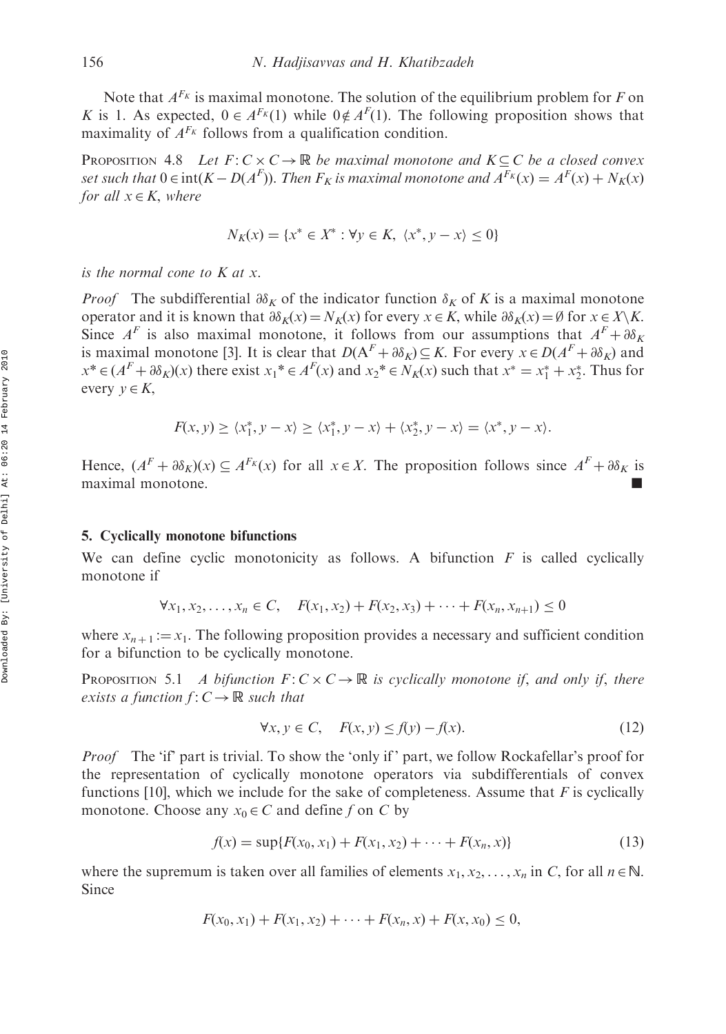Note that  $A^{F_k}$  is maximal monotone. The solution of the equilibrium problem for F on K is 1. As expected,  $0 \in A^{F_K}(1)$  while  $0 \notin A^{F}(1)$ . The following proposition shows that maximality of  $A^{F_K}$  follows from a qualification condition.

**PROPOSITION** 4.8 Let  $F: C \times C \rightarrow \mathbb{R}$  be maximal monotone and  $K \subseteq C$  be a closed convex set such that  $0 \in \text{int}(K - D(A^F))$ . Then  $F_K$  is maximal monotone and  $A^{F_K}(x) = A^F(x) + N_K(x)$ for all  $x \in K$ , where

$$
N_K(x) = \{x^* \in X^* : \forall y \in K, \ \langle x^*, y - x \rangle \le 0\}
$$

is the normal cone to  $K$  at  $x$ .

*Proof* The subdifferential  $\partial \delta_K$  of the indicator function  $\delta_K$  of K is a maximal monotone operator and it is known that  $\partial \delta_K(x) = N_K(x)$  for every  $x \in K$ , while  $\partial \delta_K(x) = \emptyset$  for  $x \in X \backslash K$ . Since  $A^F$  is also maximal monotone, it follows from our assumptions that  $A^F + \partial \delta_K$ is maximal monotone [3]. It is clear that  $D(A^F + \partial \delta_K) \subset K$ . For every  $x \in D(A^F + \partial \delta_K)$  and  $x^* \in (A^F + \partial \delta_K)(x)$  there exist  $x_1^* \in A^F(x)$  and  $x_2^* \in N_K(x)$  such that  $x^* = x_1^* + x_2^*$ . Thus for every  $y \in K$ ,

$$
F(x, y) \ge \langle x_1^*, y - x \rangle \ge \langle x_1^*, y - x \rangle + \langle x_2^*, y - x \rangle = \langle x^*, y - x \rangle.
$$

Hence,  $(A^F + \partial \delta_K)(x) \subseteq A^{F_K}(x)$  for all  $x \in X$ . The proposition follows since  $A^F + \partial \delta_K$  is maximal monotone.

### 5. Cyclically monotone bifunctions

We can define cyclic monotonicity as follows. A bifunction  $F$  is called cyclically monotone if

$$
\forall x_1, x_2, \dots, x_n \in C, \quad F(x_1, x_2) + F(x_2, x_3) + \dots + F(x_n, x_{n+1}) \le 0
$$

where  $x_{n+1} := x_1$ . The following proposition provides a necessary and sufficient condition for a bifunction to be cyclically monotone.

**PROPOSITION** 5.1 A bifunction  $F: C \times C \rightarrow \mathbb{R}$  is cyclically monotone if, and only if, there exists a function  $f: C \to \mathbb{R}$  such that

$$
\forall x, y \in C, \quad F(x, y) \le f(y) - f(x). \tag{12}
$$

Proof The 'if' part is trivial. To show the 'only if ' part, we follow Rockafellar's proof for the representation of cyclically monotone operators via subdifferentials of convex functions [10], which we include for the sake of completeness. Assume that  $F$  is cyclically monotone. Choose any  $x_0 \in C$  and define f on C by

$$
f(x) = \sup\{F(x_0, x_1) + F(x_1, x_2) + \dots + F(x_n, x)\}\tag{13}
$$

where the supremum is taken over all families of elements  $x_1, x_2, \ldots, x_n$  in C, for all  $n \in \mathbb{N}$ . Since

$$
F(x_0, x_1) + F(x_1, x_2) + \cdots + F(x_n, x) + F(x, x_0) \leq 0,
$$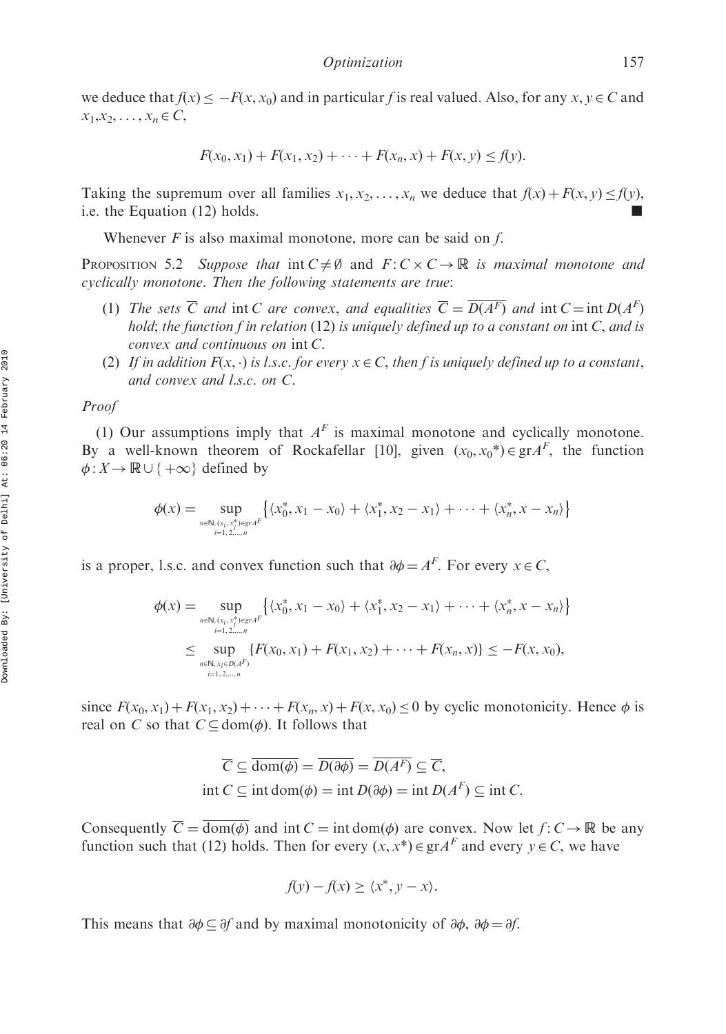we deduce that  $f(x) \leq -F(x, x_0)$  and in particular f is real valued. Also, for any  $x, y \in C$  and  $x_1, x_2, \ldots, x_n \in C$ 

$$
F(x_0, x_1) + F(x_1, x_2) + \cdots + F(x_n, x) + F(x, y) \le f(y).
$$

Taking the supremum over all families  $x_1, x_2, \ldots, x_n$  we deduce that  $f(x) + F(x, y) \leq f(y)$ , i.e. the Equation (12) holds.

Whenever  $F$  is also maximal monotone, more can be said on  $f$ .

PROPOSITION 5.2 Suppose that  $int C \neq \emptyset$  and  $F: C \times C \rightarrow \mathbb{R}$  is maximal monotone and cyclically monotone. Then the following statements are true:

- (1) The sets  $\overline{C}$  and int C are convex, and equalities  $\overline{C} = \overline{D(A^F)}$  and int  $C = \text{int } D(A^F)$ hold; the function f in relation  $(12)$  is uniquely defined up to a constant on int C, and is convex and continuous on int C.
- (2) If in addition  $F(x, \cdot)$  is l.s.c. for every  $x \in C$ , then f is uniquely defined up to a constant, and convex and l.s.c. on C.

Proof

(1) Our assumptions imply that  $A<sup>F</sup>$  is maximal monotone and cyclically monotone. By a well-known theorem of Rockafellar [10], given  $(x_0, x_0^*) \in \text{gr} A^F$ , the function  $\phi: X \to \mathbb{R} \cup \{+\infty\}$  defined by

$$
\phi(x) = \sup_{n \in \mathbb{N}, (x_i, x^*) \in \text{gr } A^{\{x_0^*, x_1^*, x_2, x_3, x_4\}} \{x_0^*, x_1 - x_0\} + \langle x_1^*, x_2 - x_1 \rangle + \dots + \langle x_n^*, x - x_n \rangle \}
$$

is a proper, l.s.c. and convex function such that  $\partial \phi = A^F$ . For every  $x \in C$ ,

$$
\phi(x) = \sup_{n \in \mathbb{N}, (x_i, x_i^*) \in \mathcal{G} \cap \mathcal{A} \atop i=1, 2,...,n} \left\{ \langle x_0^*, x_1 - x_0 \rangle + \langle x_1^*, x_2 - x_1 \rangle + \dots + \langle x_n^*, x - x_n \rangle \right\}
$$
  
\$\leq \sup\_{n \in \mathbb{N}, x\_i \in \mathcal{O} \cap \mathcal{A} \atop i=1, 2,...,n} \left\{ F(x\_0, x\_1) + F(x\_1, x\_2) + \dots + F(x\_n, x) \right\} \leq -F(x, x\_0),

since  $F(x_0, x_1) + F(x_1, x_2) + \cdots + F(x_n, x) + F(x, x_0) \le 0$  by cyclic monotonicity. Hence  $\phi$  is real on C so that  $C \subseteq \text{dom}(\phi)$ . It follows that

$$
\overline{C} \subseteq \overline{\text{dom}(\phi)} = \overline{D(\partial \phi)} = \overline{D(A^F)} \subseteq \overline{C},
$$
  
int  $C \subseteq \text{int dom}(\phi) = \text{int } D(\partial \phi) = \text{int } D(A^F) \subseteq \text{int } C.$ 

Consequently  $\overline{C} = \overline{\text{dom}(\phi)}$  and int  $C = \text{int dom}(\phi)$  are convex. Now let  $f: C \to \mathbb{R}$  be any function such that (12) holds. Then for every  $(x, x^*) \in \text{gr} A^F$  and every  $y \in C$ , we have

$$
f(y) - f(x) \ge \langle x^*, y - x \rangle.
$$

This means that  $\partial \phi \subseteq \partial f$  and by maximal monotonicity of  $\partial \phi$ ,  $\partial \phi = \partial f$ .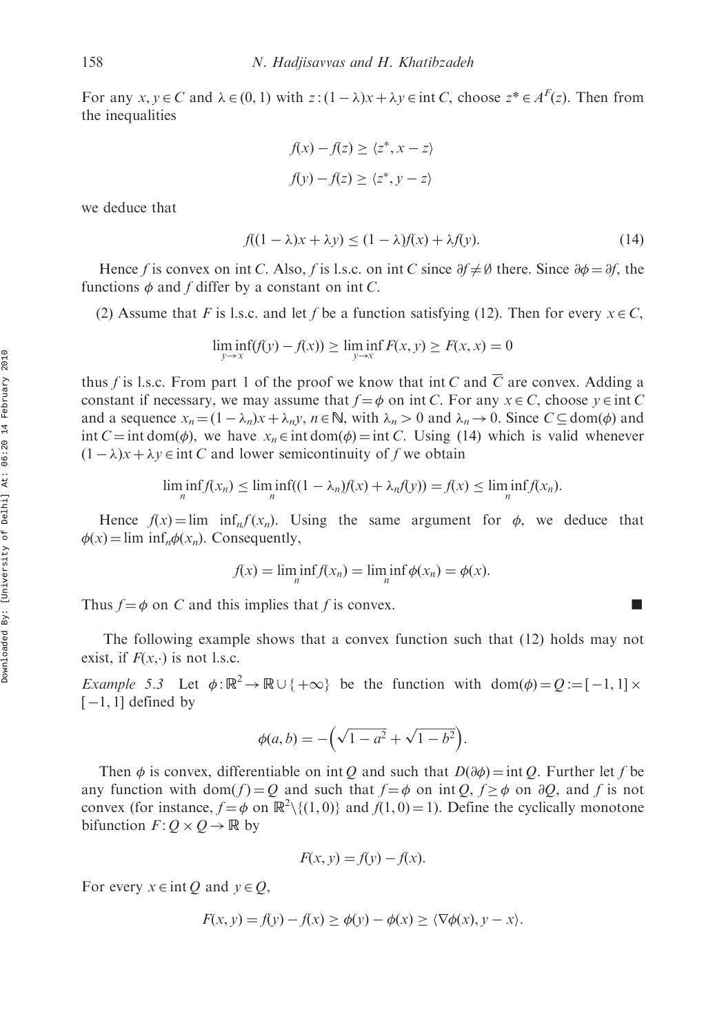For any  $x, y \in C$  and  $\lambda \in (0, 1)$  with  $z: (1 - \lambda)x + \lambda y \in \text{int } C$ , choose  $z^* \in A^F(z)$ . Then from the inequalities

$$
f(x) - f(z) \ge \langle z^*, x - z \rangle
$$

$$
f(y) - f(z) \ge \langle z^*, y - z \rangle
$$

we deduce that

$$
f((1 - \lambda)x + \lambda y) \le (1 - \lambda)f(x) + \lambda f(y). \tag{14}
$$

Hence f is convex on int C. Also, f is l.s.c. on int C since  $\partial f \neq \emptyset$  there. Since  $\partial \phi = \partial f$ , the functions  $\phi$  and f differ by a constant on int C.

(2) Assume that F is l.s.c. and let f be a function satisfying (12). Then for every  $x \in C$ ,

$$
\liminf_{y \to x} (f(y) - f(x)) \ge \liminf_{y \to x} F(x, y) \ge F(x, x) = 0
$$

thus f is l.s.c. From part 1 of the proof we know that int C and  $\overline{C}$  are convex. Adding a constant if necessary, we may assume that  $f = \phi$  on int C. For any  $x \in C$ , choose  $y \in \text{int } C$ and a sequence  $x_n = (1 - \lambda_n)x + \lambda_n y$ ,  $n \in \mathbb{N}$ , with  $\lambda_n > 0$  and  $\lambda_n \to 0$ . Since  $C \subseteq \text{dom}(\phi)$  and int  $C = \text{int dom}(\phi)$ , we have  $x_n \in \text{int dom}(\phi) = \text{int } C$ . Using (14) which is valid whenever  $(1 - \lambda)x + \lambda y \in \text{int } C$  and lower semicontinuity of f we obtain

$$
\liminf_{n} f(x_n) \leq \liminf_{n} ((1 - \lambda_n)f(x) + \lambda_n f(y)) = f(x) \leq \liminf_{n} f(x_n).
$$

Hence  $f(x) = \lim_{n \to \infty} \inf_{n \to \infty} f(x_n)$ . Using the same argument for  $\phi$ , we deduce that  $\phi(x) = \lim_{n \to \infty} \inf_{n} \phi(x_n)$ . Consequently,

$$
f(x) = \liminf_{n} f(x_n) = \liminf_{n} \phi(x_n) = \phi(x).
$$

Thus  $f = \phi$  on C and this implies that f is convex.

The following example shows that a convex function such that (12) holds may not exist, if  $F(x, \cdot)$  is not l.s.c.

*Example 5.3* Let  $\phi : \mathbb{R}^2 \to \mathbb{R} \cup \{ +\infty \}$  be the function with dom $(\phi) = Q := [-1, 1] \times$  $[-1, 1]$  defined by

$$
\phi(a, b) = -\left(\sqrt{1 - a^2} + \sqrt{1 - b^2}\right).
$$

Then  $\phi$  is convex, differentiable on int Q and such that  $D(\partial \phi) = \text{int } Q$ . Further let f be any function with  $dom(f) = Q$  and such that  $f = \phi$  on int  $Q, f \geq \phi$  on  $\partial Q$ , and f is not convex (for instance,  $f = \phi$  on  $\mathbb{R}^2 \setminus \{(1, 0)\}$  and  $f(1, 0) = 1$ ). Define the cyclically monotone bifunction  $F: Q \times Q \rightarrow \mathbb{R}$  by

$$
F(x, y) = f(y) - f(x).
$$

For every  $x \in \text{int } Q$  and  $y \in Q$ ,

$$
F(x, y) = f(y) - f(x) \ge \phi(y) - \phi(x) \ge \langle \nabla \phi(x), y - x \rangle.
$$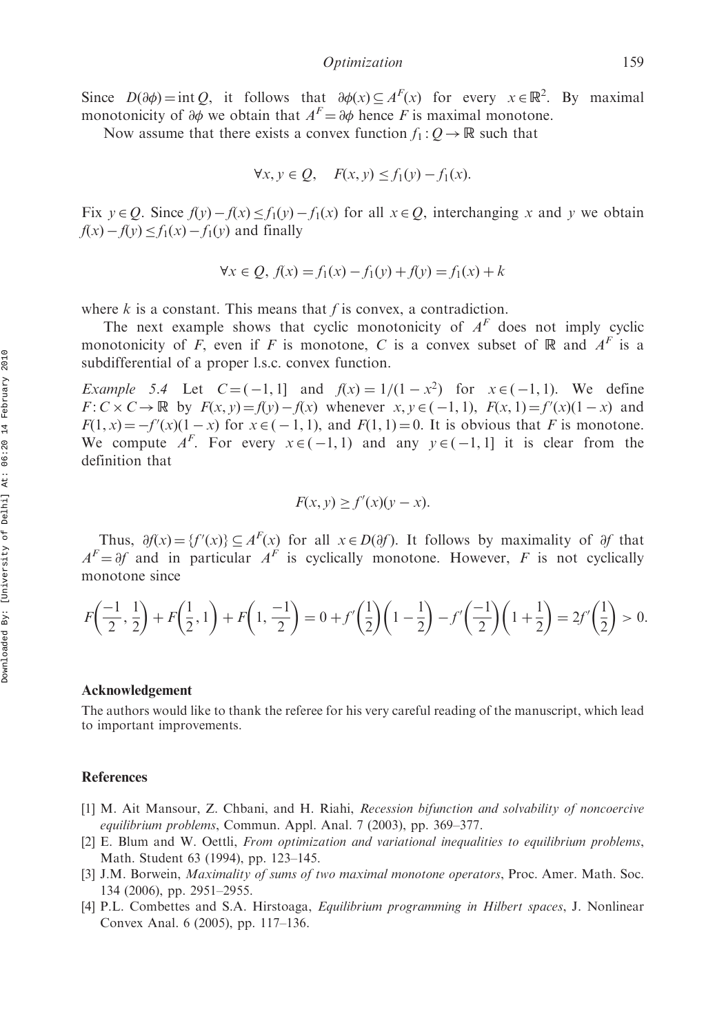Since  $D(\partial \phi) = \text{int } Q$ , it follows that  $\partial \phi(x) \subseteq A^F(x)$  for every  $x \in \mathbb{R}^2$ . By maximal monotonicity of  $\partial \phi$  we obtain that  $A^F = \partial \phi$  hence F is maximal monotone.

Now assume that there exists a convex function  $f_1: Q \to \mathbb{R}$  such that

$$
\forall x, y \in Q, \quad F(x, y) \le f_1(y) - f_1(x).
$$

Fix  $y \in Q$ . Since  $f(y) - f(x) \le f_1(y) - f_1(x)$  for all  $x \in Q$ , interchanging x and y we obtain  $f(x) - f(y) \leq f_1(x) - f_1(y)$  and finally

$$
\forall x \in Q, f(x) = f_1(x) - f_1(y) + f(y) = f_1(x) + k
$$

where  $k$  is a constant. This means that  $f$  is convex, a contradiction.

The next example shows that cyclic monotonicity of  $A<sup>F</sup>$  does not imply cyclic monotonicity of F, even if F is monotone, C is a convex subset of R and  $A^F$  is a subdifferential of a proper l.s.c. convex function.

Example 5.4 Let  $C = (-1, 1]$  and  $f(x) = 1/(1-x^2)$  for  $x \in (-1, 1]$ . We define  $F: C \times C \rightarrow \mathbb{R}$  by  $F(x, y) = f(y) - f(x)$  whenever  $x, y \in (-1, 1)$ ,  $F(x, 1) = f'(x)(1 - x)$  and  $F(1, x) = -f'(x)(1-x)$  for  $x \in (-1, 1)$ , and  $F(1, 1) = 0$ . It is obvious that F is monotone. We compute  $A^F$ . For every  $x \in (-1, 1)$  and any  $y \in (-1, 1]$  it is clear from the definition that

$$
F(x, y) \ge f'(x)(y - x).
$$

Thus,  $\partial f(x) = {f'(x)} \subseteq A^F(x)$  for all  $x \in D(\partial f)$ . It follows by maximality of  $\partial f$  that  $A<sup>F</sup> = \partial f$  and in particular  $A<sup>F</sup>$  is cyclically monotone. However, F is not cyclically monotone since

$$
F\left(\frac{-1}{2},\frac{1}{2}\right) + F\left(\frac{1}{2},1\right) + F\left(1,\frac{-1}{2}\right) = 0 + f'\left(\frac{1}{2}\right)\left(1-\frac{1}{2}\right) - f'\left(\frac{-1}{2}\right)\left(1+\frac{1}{2}\right) = 2f'\left(\frac{1}{2}\right) > 0.
$$

#### Acknowledgement

The authors would like to thank the referee for his very careful reading of the manuscript, which lead to important improvements.

# **References**

- [1] M. Ait Mansour, Z. Chbani, and H. Riahi, Recession bifunction and solvability of noncoercive equilibrium problems, Commun. Appl. Anal. 7 (2003), pp. 369–377.
- [2] E. Blum and W. Oettli, From optimization and variational inequalities to equilibrium problems, Math. Student 63 (1994), pp. 123–145.
- [3] J.M. Borwein, *Maximality of sums of two maximal monotone operators*, Proc. Amer. Math. Soc. 134 (2006), pp. 2951–2955.
- [4] P.L. Combettes and S.A. Hirstoaga, Equilibrium programming in Hilbert spaces, J. Nonlinear Convex Anal. 6 (2005), pp. 117–136.